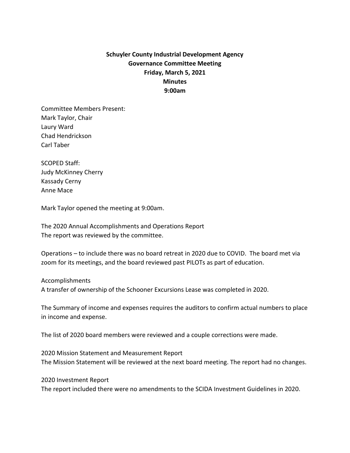## **Schuyler County Industrial Development Agency Governance Committee Meeting Friday, March 5, 2021 Minutes 9:00am**

Committee Members Present: Mark Taylor, Chair Laury Ward Chad Hendrickson Carl Taber

SCOPED Staff: Judy McKinney Cherry Kassady Cerny Anne Mace

Mark Taylor opened the meeting at 9:00am.

The 2020 Annual Accomplishments and Operations Report The report was reviewed by the committee.

Operations – to include there was no board retreat in 2020 due to COVID. The board met via zoom for its meetings, and the board reviewed past PILOTs as part of education.

Accomplishments A transfer of ownership of the Schooner Excursions Lease was completed in 2020.

The Summary of income and expenses requires the auditors to confirm actual numbers to place in income and expense.

The list of 2020 board members were reviewed and a couple corrections were made.

2020 Mission Statement and Measurement Report The Mission Statement will be reviewed at the next board meeting. The report had no changes.

2020 Investment Report The report included there were no amendments to the SCIDA Investment Guidelines in 2020.